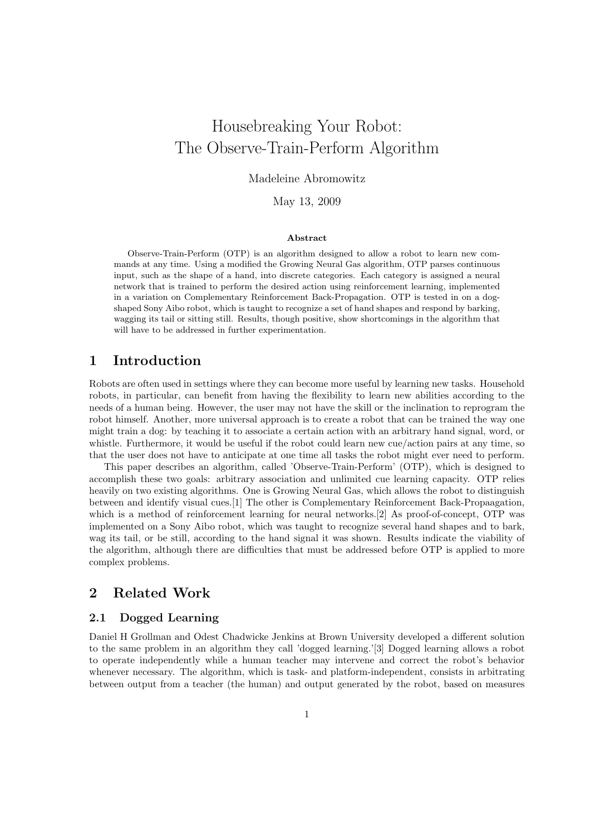# Housebreaking Your Robot: The Observe-Train-Perform Algorithm

### Madeleine Abromowitz

#### May 13, 2009

#### Abstract

Observe-Train-Perform (OTP) is an algorithm designed to allow a robot to learn new commands at any time. Using a modified the Growing Neural Gas algorithm, OTP parses continuous input, such as the shape of a hand, into discrete categories. Each category is assigned a neural network that is trained to perform the desired action using reinforcement learning, implemented in a variation on Complementary Reinforcement Back-Propagation. OTP is tested in on a dogshaped Sony Aibo robot, which is taught to recognize a set of hand shapes and respond by barking, wagging its tail or sitting still. Results, though positive, show shortcomings in the algorithm that will have to be addressed in further experimentation.

# 1 Introduction

Robots are often used in settings where they can become more useful by learning new tasks. Household robots, in particular, can benefit from having the flexibility to learn new abilities according to the needs of a human being. However, the user may not have the skill or the inclination to reprogram the robot himself. Another, more universal approach is to create a robot that can be trained the way one might train a dog: by teaching it to associate a certain action with an arbitrary hand signal, word, or whistle. Furthermore, it would be useful if the robot could learn new cue/action pairs at any time, so that the user does not have to anticipate at one time all tasks the robot might ever need to perform.

This paper describes an algorithm, called 'Observe-Train-Perform' (OTP), which is designed to accomplish these two goals: arbitrary association and unlimited cue learning capacity. OTP relies heavily on two existing algorithms. One is Growing Neural Gas, which allows the robot to distinguish between and identify visual cues.[1] The other is Complementary Reinforcement Back-Propaagation, which is a method of reinforcement learning for neural networks.[2] As proof-of-concept, OTP was implemented on a Sony Aibo robot, which was taught to recognize several hand shapes and to bark, wag its tail, or be still, according to the hand signal it was shown. Results indicate the viability of the algorithm, although there are difficulties that must be addressed before OTP is applied to more complex problems.

# 2 Related Work

#### 2.1 Dogged Learning

Daniel H Grollman and Odest Chadwicke Jenkins at Brown University developed a different solution to the same problem in an algorithm they call 'dogged learning.'[3] Dogged learning allows a robot to operate independently while a human teacher may intervene and correct the robot's behavior whenever necessary. The algorithm, which is task- and platform-independent, consists in arbitrating between output from a teacher (the human) and output generated by the robot, based on measures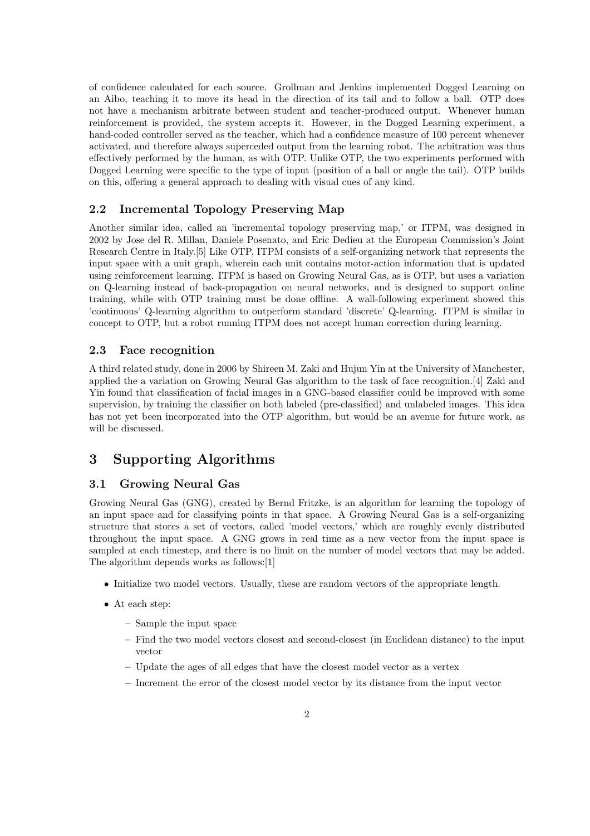of confidence calculated for each source. Grollman and Jenkins implemented Dogged Learning on an Aibo, teaching it to move its head in the direction of its tail and to follow a ball. OTP does not have a mechanism arbitrate between student and teacher-produced output. Whenever human reinforcement is provided, the system accepts it. However, in the Dogged Learning experiment, a hand-coded controller served as the teacher, which had a confidence measure of 100 percent whenever activated, and therefore always superceded output from the learning robot. The arbitration was thus effectively performed by the human, as with OTP. Unlike OTP, the two experiments performed with Dogged Learning were specific to the type of input (position of a ball or angle the tail). OTP builds on this, offering a general approach to dealing with visual cues of any kind.

## 2.2 Incremental Topology Preserving Map

Another similar idea, called an 'incremental topology preserving map,' or ITPM, was designed in 2002 by Jose del R. Millan, Daniele Posenato, and Eric Dedieu at the European Commission's Joint Research Centre in Italy.[5] Like OTP, ITPM consists of a self-organizing network that represents the input space with a unit graph, wherein each unit contains motor-action information that is updated using reinforcement learning. ITPM is based on Growing Neural Gas, as is OTP, but uses a variation on Q-learning instead of back-propagation on neural networks, and is designed to support online training, while with OTP training must be done offline. A wall-following experiment showed this 'continuous' Q-learning algorithm to outperform standard 'discrete' Q-learning. ITPM is similar in concept to OTP, but a robot running ITPM does not accept human correction during learning.

#### 2.3 Face recognition

A third related study, done in 2006 by Shireen M. Zaki and Hujun Yin at the University of Manchester, applied the a variation on Growing Neural Gas algorithm to the task of face recognition.[4] Zaki and Yin found that classification of facial images in a GNG-based classifier could be improved with some supervision, by training the classifier on both labeled (pre-classified) and unlabeled images. This idea has not yet been incorporated into the OTP algorithm, but would be an avenue for future work, as will be discussed.

# 3 Supporting Algorithms

#### 3.1 Growing Neural Gas

Growing Neural Gas (GNG), created by Bernd Fritzke, is an algorithm for learning the topology of an input space and for classifying points in that space. A Growing Neural Gas is a self-organizing structure that stores a set of vectors, called 'model vectors,' which are roughly evenly distributed throughout the input space. A GNG grows in real time as a new vector from the input space is sampled at each timestep, and there is no limit on the number of model vectors that may be added. The algorithm depends works as follows:[1]

- Initialize two model vectors. Usually, these are random vectors of the appropriate length.
- At each step:
	- Sample the input space
	- Find the two model vectors closest and second-closest (in Euclidean distance) to the input vector
	- Update the ages of all edges that have the closest model vector as a vertex
	- Increment the error of the closest model vector by its distance from the input vector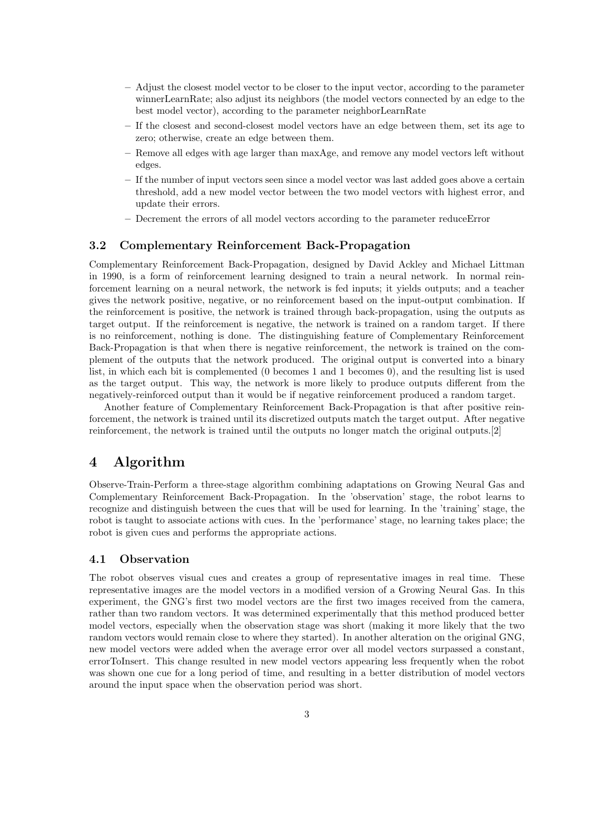- Adjust the closest model vector to be closer to the input vector, according to the parameter winnerLearnRate; also adjust its neighbors (the model vectors connected by an edge to the best model vector), according to the parameter neighborLearnRate
- If the closest and second-closest model vectors have an edge between them, set its age to zero; otherwise, create an edge between them.
- Remove all edges with age larger than maxAge, and remove any model vectors left without edges.
- If the number of input vectors seen since a model vector was last added goes above a certain threshold, add a new model vector between the two model vectors with highest error, and update their errors.
- Decrement the errors of all model vectors according to the parameter reduceError

### 3.2 Complementary Reinforcement Back-Propagation

Complementary Reinforcement Back-Propagation, designed by David Ackley and Michael Littman in 1990, is a form of reinforcement learning designed to train a neural network. In normal reinforcement learning on a neural network, the network is fed inputs; it yields outputs; and a teacher gives the network positive, negative, or no reinforcement based on the input-output combination. If the reinforcement is positive, the network is trained through back-propagation, using the outputs as target output. If the reinforcement is negative, the network is trained on a random target. If there is no reinforcement, nothing is done. The distinguishing feature of Complementary Reinforcement Back-Propagation is that when there is negative reinforcement, the network is trained on the complement of the outputs that the network produced. The original output is converted into a binary list, in which each bit is complemented (0 becomes 1 and 1 becomes 0), and the resulting list is used as the target output. This way, the network is more likely to produce outputs different from the negatively-reinforced output than it would be if negative reinforcement produced a random target.

Another feature of Complementary Reinforcement Back-Propagation is that after positive reinforcement, the network is trained until its discretized outputs match the target output. After negative reinforcement, the network is trained until the outputs no longer match the original outputs.[2]

# 4 Algorithm

Observe-Train-Perform a three-stage algorithm combining adaptations on Growing Neural Gas and Complementary Reinforcement Back-Propagation. In the 'observation' stage, the robot learns to recognize and distinguish between the cues that will be used for learning. In the 'training' stage, the robot is taught to associate actions with cues. In the 'performance' stage, no learning takes place; the robot is given cues and performs the appropriate actions.

#### 4.1 Observation

The robot observes visual cues and creates a group of representative images in real time. These representative images are the model vectors in a modified version of a Growing Neural Gas. In this experiment, the GNG's first two model vectors are the first two images received from the camera, rather than two random vectors. It was determined experimentally that this method produced better model vectors, especially when the observation stage was short (making it more likely that the two random vectors would remain close to where they started). In another alteration on the original GNG, new model vectors were added when the average error over all model vectors surpassed a constant, errorToInsert. This change resulted in new model vectors appearing less frequently when the robot was shown one cue for a long period of time, and resulting in a better distribution of model vectors around the input space when the observation period was short.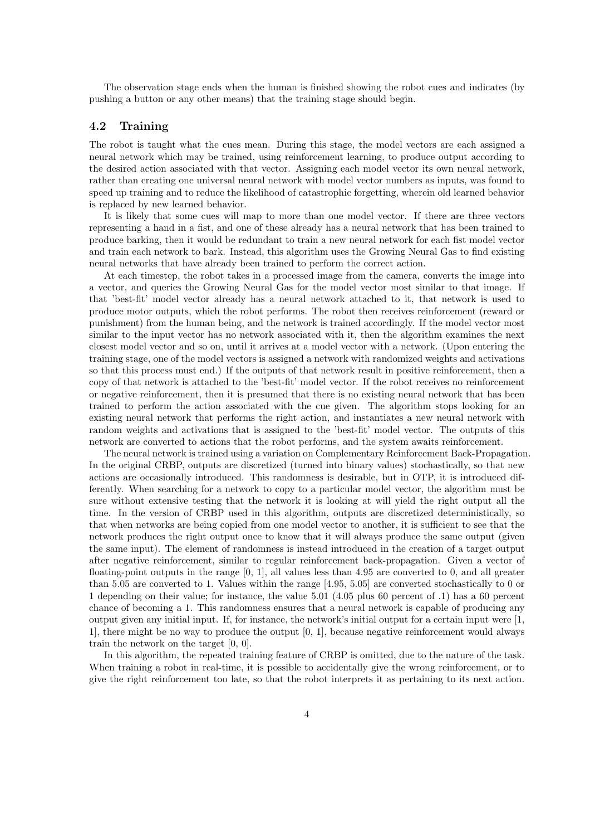The observation stage ends when the human is finished showing the robot cues and indicates (by pushing a button or any other means) that the training stage should begin.

#### 4.2 Training

The robot is taught what the cues mean. During this stage, the model vectors are each assigned a neural network which may be trained, using reinforcement learning, to produce output according to the desired action associated with that vector. Assigning each model vector its own neural network, rather than creating one universal neural network with model vector numbers as inputs, was found to speed up training and to reduce the likelihood of catastrophic forgetting, wherein old learned behavior is replaced by new learned behavior.

It is likely that some cues will map to more than one model vector. If there are three vectors representing a hand in a fist, and one of these already has a neural network that has been trained to produce barking, then it would be redundant to train a new neural network for each fist model vector and train each network to bark. Instead, this algorithm uses the Growing Neural Gas to find existing neural networks that have already been trained to perform the correct action.

At each timestep, the robot takes in a processed image from the camera, converts the image into a vector, and queries the Growing Neural Gas for the model vector most similar to that image. If that 'best-fit' model vector already has a neural network attached to it, that network is used to produce motor outputs, which the robot performs. The robot then receives reinforcement (reward or punishment) from the human being, and the network is trained accordingly. If the model vector most similar to the input vector has no network associated with it, then the algorithm examines the next closest model vector and so on, until it arrives at a model vector with a network. (Upon entering the training stage, one of the model vectors is assigned a network with randomized weights and activations so that this process must end.) If the outputs of that network result in positive reinforcement, then a copy of that network is attached to the 'best-fit' model vector. If the robot receives no reinforcement or negative reinforcement, then it is presumed that there is no existing neural network that has been trained to perform the action associated with the cue given. The algorithm stops looking for an existing neural network that performs the right action, and instantiates a new neural network with random weights and activations that is assigned to the 'best-fit' model vector. The outputs of this network are converted to actions that the robot performs, and the system awaits reinforcement.

The neural network is trained using a variation on Complementary Reinforcement Back-Propagation. In the original CRBP, outputs are discretized (turned into binary values) stochastically, so that new actions are occasionally introduced. This randomness is desirable, but in OTP, it is introduced differently. When searching for a network to copy to a particular model vector, the algorithm must be sure without extensive testing that the network it is looking at will yield the right output all the time. In the version of CRBP used in this algorithm, outputs are discretized deterministically, so that when networks are being copied from one model vector to another, it is sufficient to see that the network produces the right output once to know that it will always produce the same output (given the same input). The element of randomness is instead introduced in the creation of a target output after negative reinforcement, similar to regular reinforcement back-propagation. Given a vector of floating-point outputs in the range [0, 1], all values less than 4.95 are converted to 0, and all greater than 5.05 are converted to 1. Values within the range [4.95, 5.05] are converted stochastically to 0 or 1 depending on their value; for instance, the value 5.01 (4.05 plus 60 percent of .1) has a 60 percent chance of becoming a 1. This randomness ensures that a neural network is capable of producing any output given any initial input. If, for instance, the network's initial output for a certain input were [1, 1], there might be no way to produce the output [0, 1], because negative reinforcement would always train the network on the target [0, 0].

In this algorithm, the repeated training feature of CRBP is omitted, due to the nature of the task. When training a robot in real-time, it is possible to accidentally give the wrong reinforcement, or to give the right reinforcement too late, so that the robot interprets it as pertaining to its next action.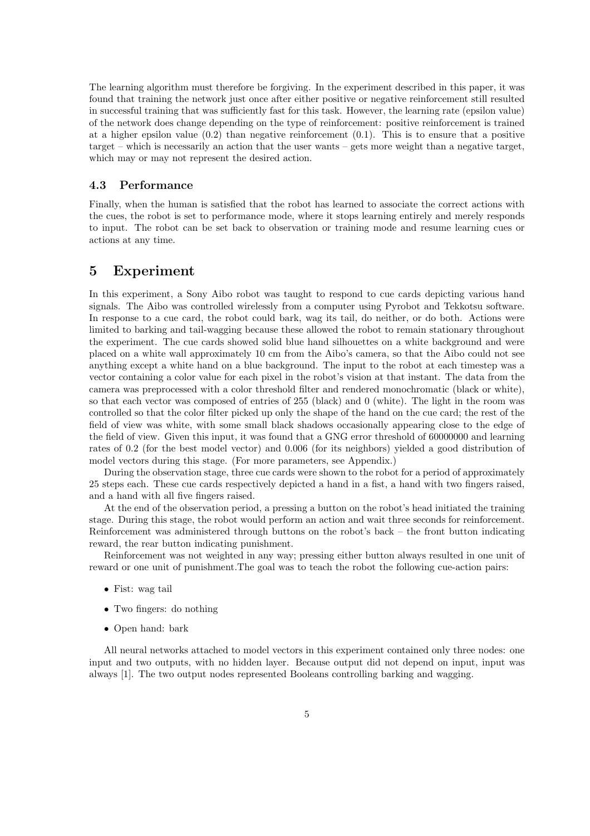The learning algorithm must therefore be forgiving. In the experiment described in this paper, it was found that training the network just once after either positive or negative reinforcement still resulted in successful training that was sufficiently fast for this task. However, the learning rate (epsilon value) of the network does change depending on the type of reinforcement: positive reinforcement is trained at a higher epsilon value  $(0.2)$  than negative reinforcement  $(0.1)$ . This is to ensure that a positive target – which is necessarily an action that the user wants – gets more weight than a negative target, which may or may not represent the desired action.

### 4.3 Performance

Finally, when the human is satisfied that the robot has learned to associate the correct actions with the cues, the robot is set to performance mode, where it stops learning entirely and merely responds to input. The robot can be set back to observation or training mode and resume learning cues or actions at any time.

# 5 Experiment

In this experiment, a Sony Aibo robot was taught to respond to cue cards depicting various hand signals. The Aibo was controlled wirelessly from a computer using Pyrobot and Tekkotsu software. In response to a cue card, the robot could bark, wag its tail, do neither, or do both. Actions were limited to barking and tail-wagging because these allowed the robot to remain stationary throughout the experiment. The cue cards showed solid blue hand silhouettes on a white background and were placed on a white wall approximately 10 cm from the Aibo's camera, so that the Aibo could not see anything except a white hand on a blue background. The input to the robot at each timestep was a vector containing a color value for each pixel in the robot's vision at that instant. The data from the camera was preprocessed with a color threshold filter and rendered monochromatic (black or white), so that each vector was composed of entries of 255 (black) and 0 (white). The light in the room was controlled so that the color filter picked up only the shape of the hand on the cue card; the rest of the field of view was white, with some small black shadows occasionally appearing close to the edge of the field of view. Given this input, it was found that a GNG error threshold of 60000000 and learning rates of 0.2 (for the best model vector) and 0.006 (for its neighbors) yielded a good distribution of model vectors during this stage. (For more parameters, see Appendix.)

During the observation stage, three cue cards were shown to the robot for a period of approximately 25 steps each. These cue cards respectively depicted a hand in a fist, a hand with two fingers raised, and a hand with all five fingers raised.

At the end of the observation period, a pressing a button on the robot's head initiated the training stage. During this stage, the robot would perform an action and wait three seconds for reinforcement. Reinforcement was administered through buttons on the robot's back – the front button indicating reward, the rear button indicating punishment.

Reinforcement was not weighted in any way; pressing either button always resulted in one unit of reward or one unit of punishment.The goal was to teach the robot the following cue-action pairs:

- Fist: wag tail
- Two fingers: do nothing
- Open hand: bark

All neural networks attached to model vectors in this experiment contained only three nodes: one input and two outputs, with no hidden layer. Because output did not depend on input, input was always [1]. The two output nodes represented Booleans controlling barking and wagging.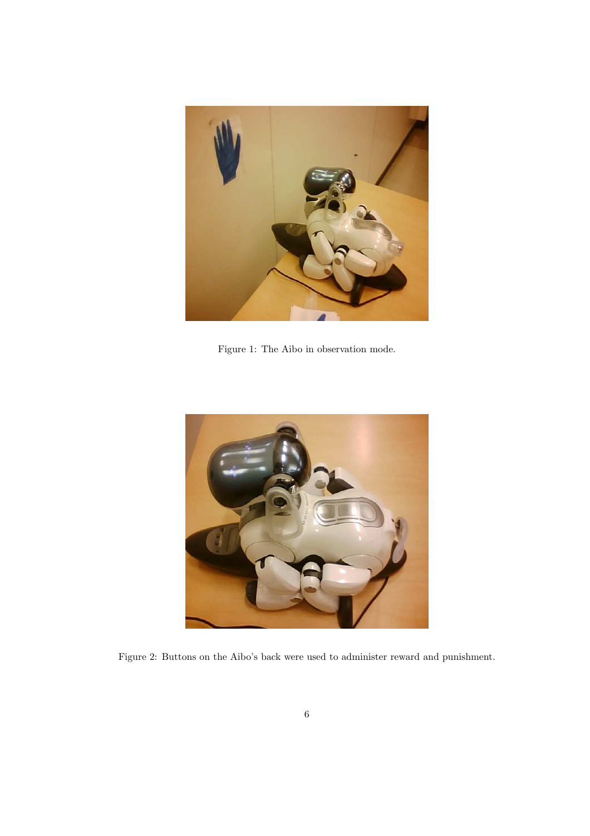

Figure 1: The Aibo in observation mode.



Figure 2: Buttons on the Aibo's back were used to administer reward and punishment.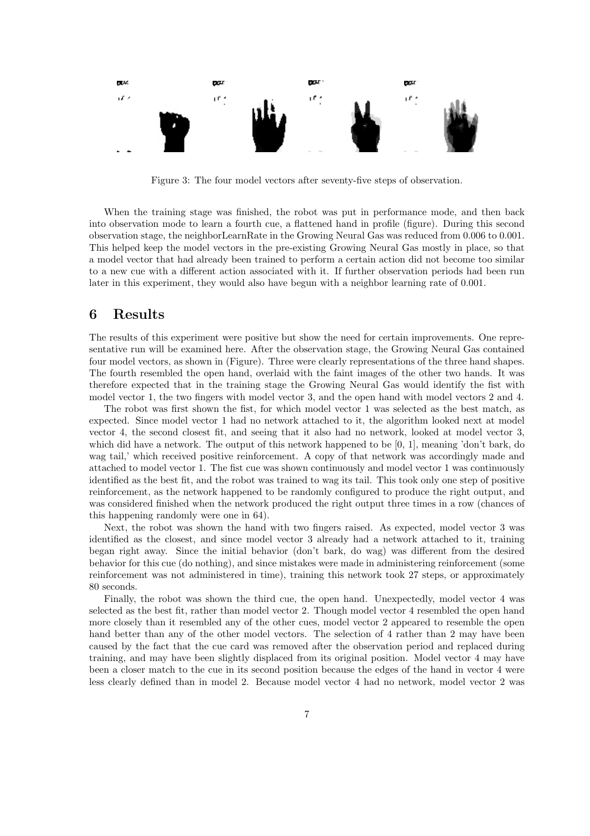

Figure 3: The four model vectors after seventy-five steps of observation.

When the training stage was finished, the robot was put in performance mode, and then back into observation mode to learn a fourth cue, a flattened hand in profile (figure). During this second observation stage, the neighborLearnRate in the Growing Neural Gas was reduced from 0.006 to 0.001. This helped keep the model vectors in the pre-existing Growing Neural Gas mostly in place, so that a model vector that had already been trained to perform a certain action did not become too similar to a new cue with a different action associated with it. If further observation periods had been run later in this experiment, they would also have begun with a neighbor learning rate of 0.001.

# 6 Results

The results of this experiment were positive but show the need for certain improvements. One representative run will be examined here. After the observation stage, the Growing Neural Gas contained four model vectors, as shown in (Figure). Three were clearly representations of the three hand shapes. The fourth resembled the open hand, overlaid with the faint images of the other two hands. It was therefore expected that in the training stage the Growing Neural Gas would identify the fist with model vector 1, the two fingers with model vector 3, and the open hand with model vectors 2 and 4.

The robot was first shown the fist, for which model vector 1 was selected as the best match, as expected. Since model vector 1 had no network attached to it, the algorithm looked next at model vector 4, the second closest fit, and seeing that it also had no network, looked at model vector 3, which did have a network. The output of this network happened to be [0, 1], meaning 'don't bark, do wag tail,' which received positive reinforcement. A copy of that network was accordingly made and attached to model vector 1. The fist cue was shown continuously and model vector 1 was continuously identified as the best fit, and the robot was trained to wag its tail. This took only one step of positive reinforcement, as the network happened to be randomly configured to produce the right output, and was considered finished when the network produced the right output three times in a row (chances of this happening randomly were one in 64).

Next, the robot was shown the hand with two fingers raised. As expected, model vector 3 was identified as the closest, and since model vector 3 already had a network attached to it, training began right away. Since the initial behavior (don't bark, do wag) was different from the desired behavior for this cue (do nothing), and since mistakes were made in administering reinforcement (some reinforcement was not administered in time), training this network took 27 steps, or approximately 80 seconds.

Finally, the robot was shown the third cue, the open hand. Unexpectedly, model vector 4 was selected as the best fit, rather than model vector 2. Though model vector 4 resembled the open hand more closely than it resembled any of the other cues, model vector 2 appeared to resemble the open hand better than any of the other model vectors. The selection of 4 rather than 2 may have been caused by the fact that the cue card was removed after the observation period and replaced during training, and may have been slightly displaced from its original position. Model vector 4 may have been a closer match to the cue in its second position because the edges of the hand in vector 4 were less clearly defined than in model 2. Because model vector 4 had no network, model vector 2 was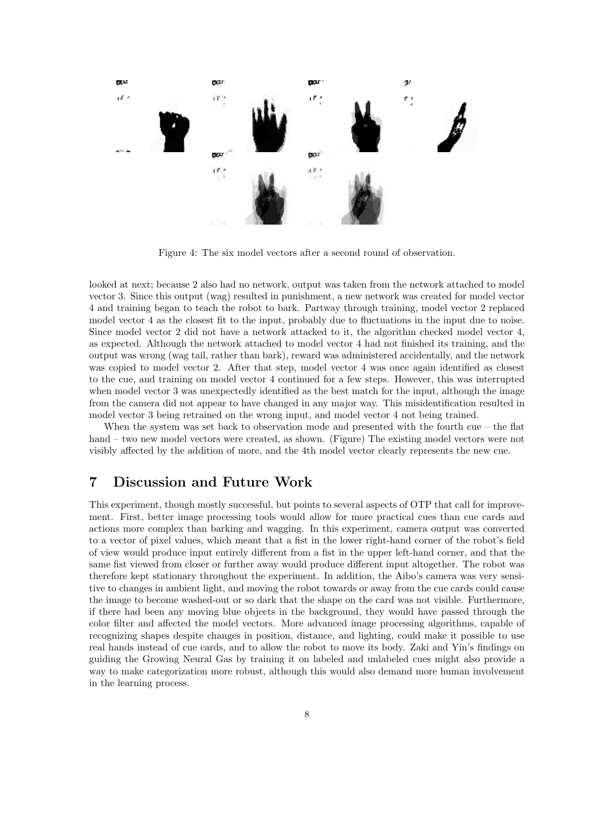

Figure 4: The six model vectors after a second round of observation.

looked at next; because 2 also had no network, output was taken from the network attached to model vector 3. Since this output (wag) resulted in punishment, a new network was created for model vector 4 and training began to teach the robot to bark. Partway through training, model vector 2 replaced model vector 4 as the closest fit to the input, probably due to fluctuations in the input due to noise. Since model vector 2 did not have a network attacked to it, the algorithm checked model vector 4, as expected. Although the network attached to model vector 4 had not finished its training, and the output was wrong (wag tail, rather than bark), reward was administered accidentally, and the network was copied to model vector 2. After that step, model vector 4 was once again identified as closest to the cue, and training on model vector 4 continued for a few steps. However, this was interrupted when model vector 3 was unexpectedly identified as the best match for the input, although the image from the camera did not appear to have changed in any major way. This misidentification resulted in model vector 3 being retrained on the wrong input, and model vector 4 not being trained.

When the system was set back to observation mode and presented with the fourth cue – the flat hand – two new model vectors were created, as shown. (Figure) The existing model vectors were not visibly affected by the addition of more, and the 4th model vector clearly represents the new cue.

# 7 Discussion and Future Work

This experiment, though mostly successful, but points to several aspects of OTP that call for improvement. First, better image processing tools would allow for more practical cues than cue cards and actions more complex than barking and wagging. In this experiment, camera output was converted to a vector of pixel values, which meant that a fist in the lower right-hand corner of the robot's field of view would produce input entirely different from a fist in the upper left-hand corner, and that the same fist viewed from closer or further away would produce different input altogether. The robot was therefore kept stationary throughout the experiment. In addition, the Aibo's camera was very sensitive to changes in ambient light, and moving the robot towards or away from the cue cards could cause the image to become washed-out or so dark that the shape on the card was not visible. Furthermore, if there had been any moving blue objects in the background, they would have passed through the color filter and affected the model vectors. More advanced image processing algorithms, capable of recognizing shapes despite changes in position, distance, and lighting, could make it possible to use real hands instead of cue cards, and to allow the robot to move its body. Zaki and Yin's findings on guiding the Growing Neural Gas by training it on labeled and unlabeled cues might also provide a way to make categorization more robust, although this would also demand more human involvement in the learning process.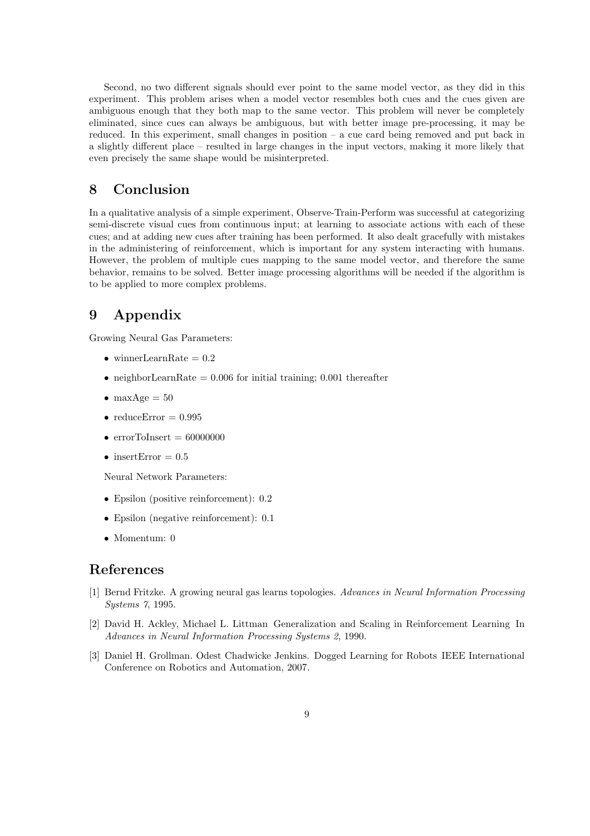Second, no two different signals should ever point to the same model vector, as they did in this experiment. This problem arises when a model vector resembles both cues and the cues given are ambiguous enough that they both map to the same vector. This problem will never be completely eliminated, since cues can always be ambiguous, but with better image pre-processing, it may be reduced. In this experiment, small changes in position – a cue card being removed and put back in a slightly different place – resulted in large changes in the input vectors, making it more likely that even precisely the same shape would be misinterpreted.

# 8 Conclusion

In a qualitative analysis of a simple experiment, Observe-Train-Perform was successful at categorizing semi-discrete visual cues from continuous input; at learning to associate actions with each of these cues; and at adding new cues after training has been performed. It also dealt gracefully with mistakes in the administering of reinforcement, which is important for any system interacting with humans. However, the problem of multiple cues mapping to the same model vector, and therefore the same behavior, remains to be solved. Better image processing algorithms will be needed if the algorithm is to be applied to more complex problems.

# 9 Appendix

Growing Neural Gas Parameters:

- winnerLearnRate  $= 0.2$
- neighborLearnRate  $= 0.006$  for initial training; 0.001 thereafter
- maxAge  $= 50$
- reduceError  $= 0.995$
- errorToInsert =  $60000000$
- insertError  $= 0.5$

Neural Network Parameters:

- Epsilon (positive reinforcement): 0.2
- Epsilon (negative reinforcement): 0.1
- Momentum: 0

# References

- [1] Bernd Fritzke. A growing neural gas learns topologies. Advances in Neural Information Processing Systems 7, 1995.
- [2] David H. Ackley, Michael L. Littman Generalization and Scaling in Reinforcement Learning In Advances in Neural Information Processing Systems 2, 1990.
- [3] Daniel H. Grollman. Odest Chadwicke Jenkins. Dogged Learning for Robots IEEE International Conference on Robotics and Automation, 2007.